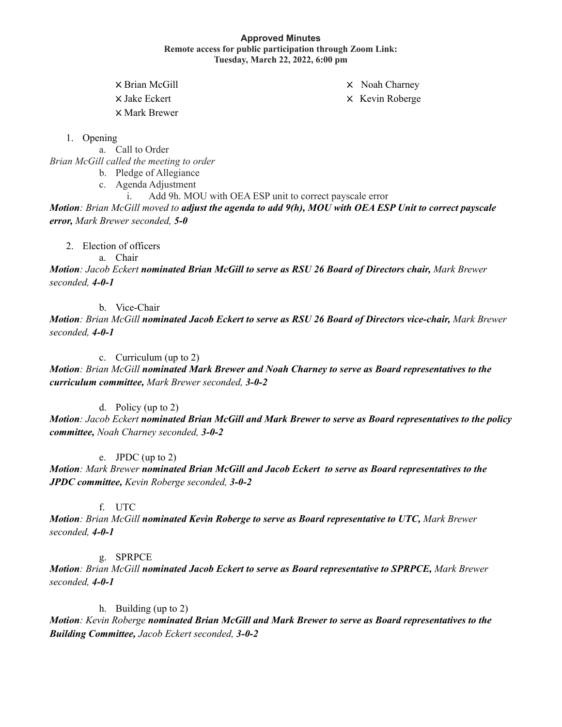#### **Approved Minutes Remote access for public participation through Zoom Link: Tuesday, March 22, 2022, 6:00 pm**

 $\times$  Brian McGill  $\times$  Noah Charney

X Jake Eckert X Kevin Roberge

X Mark Brewer

1. Opening

a. Call to Order *Brian McGill called the meeting to order*

b. Pledge of Allegiance

c. Agenda Adjustment

i. Add 9h. MOU with OEA ESP unit to correct payscale error

Motion: Brian McGill moved to adjust the agenda to add 9(h), MOU with OEA ESP Unit to correct payscale *error, Mark Brewer seconded, 5-0*

2. Election of officers

a. Chair

Motion: Jacob Eckert nominated Brian McGill to serve as RSU 26 Board of Directors chair, Mark Brewer *seconded, 4-0-1*

## b. Vice-Chair

Motion: Brian McGill nominated Jacob Eckert to serve as RSU 26 Board of Directors vice-chair, Mark Brewer *seconded, 4-0-1*

c. Curriculum (up to 2)

*Motion: Brian McGill nominated Mark Brewer and Noah Charney to serve as Board representatives to the curriculum committee, Mark Brewer seconded, 3-0-2*

## d. Policy (up to 2)

Motion: Jacob Eckert nominated Brian McGill and Mark Brewer to serve as Board representatives to the policy *committee, Noah Charney seconded, 3-0-2*

# e. JPDC (up to 2)

*Motion: Mark Brewer nominated Brian McGill and Jacob Eckert to serve as Board representatives to the JPDC committee, Kevin Roberge seconded, 3-0-2*

## f. UTC

*Motion: Brian McGill nominated Kevin Roberge to serve as Board representative to UTC, Mark Brewer seconded, 4-0-1*

## g. SPRPCE

*Motion: Brian McGill nominated Jacob Eckert to serve as Board representative to SPRPCE, Mark Brewer seconded, 4-0-1*

## h. Building (up to 2)

*Motion: Kevin Roberge nominated Brian McGill and Mark Brewer to serve as Board representatives to the Building Committee, Jacob Eckert seconded, 3-0-2*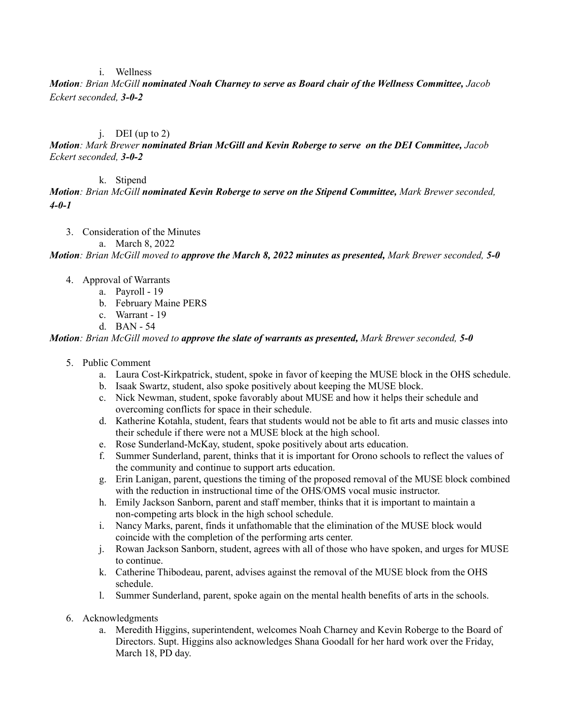i. Wellness

*Motion: Brian McGill nominated Noah Charney to serve as Board chair of the Wellness Committee, Jacob Eckert seconded, 3-0-2*

#### i. DEI (up to 2)

*Motion: Mark Brewer nominated Brian McGill and Kevin Roberge to serve on the DEI Committee, Jacob Eckert seconded, 3-0-2*

#### k. Stipend

*Motion: Brian McGill nominated Kevin Roberge to serve on the Stipend Committee, Mark Brewer seconded, 4-0-1*

3. Consideration of the Minutes

a. March 8, 2022

Motion: Brian McGill moved to approve the March 8, 2022 minutes as presented, Mark Brewer seconded, 5-0

- 4. Approval of Warrants
	- a. Payroll 19
	- b. February Maine PERS
	- c. Warrant 19
	- d. BAN 54

*Motion: Brian McGill moved to approve the slate of warrants as presented, Mark Brewer seconded, 5-0*

- 5. Public Comment
	- a. Laura Cost-Kirkpatrick, student, spoke in favor of keeping the MUSE block in the OHS schedule.
	- b. Isaak Swartz, student, also spoke positively about keeping the MUSE block.
	- c. Nick Newman, student, spoke favorably about MUSE and how it helps their schedule and overcoming conflicts for space in their schedule.
	- d. Katherine Kotahla, student, fears that students would not be able to fit arts and music classes into their schedule if there were not a MUSE block at the high school.
	- e. Rose Sunderland-McKay, student, spoke positively about arts education.
	- f. Summer Sunderland, parent, thinks that it is important for Orono schools to reflect the values of the community and continue to support arts education.
	- g. Erin Lanigan, parent, questions the timing of the proposed removal of the MUSE block combined with the reduction in instructional time of the OHS/OMS vocal music instructor.
	- h. Emily Jackson Sanborn, parent and staff member, thinks that it is important to maintain a non-competing arts block in the high school schedule.
	- i. Nancy Marks, parent, finds it unfathomable that the elimination of the MUSE block would coincide with the completion of the performing arts center.
	- j. Rowan Jackson Sanborn, student, agrees with all of those who have spoken, and urges for MUSE to continue.
	- k. Catherine Thibodeau, parent, advises against the removal of the MUSE block from the OHS schedule.
	- l. Summer Sunderland, parent, spoke again on the mental health benefits of arts in the schools.
- 6. Acknowledgments
	- a. Meredith Higgins, superintendent, welcomes Noah Charney and Kevin Roberge to the Board of Directors. Supt. Higgins also acknowledges Shana Goodall for her hard work over the Friday, March 18, PD day.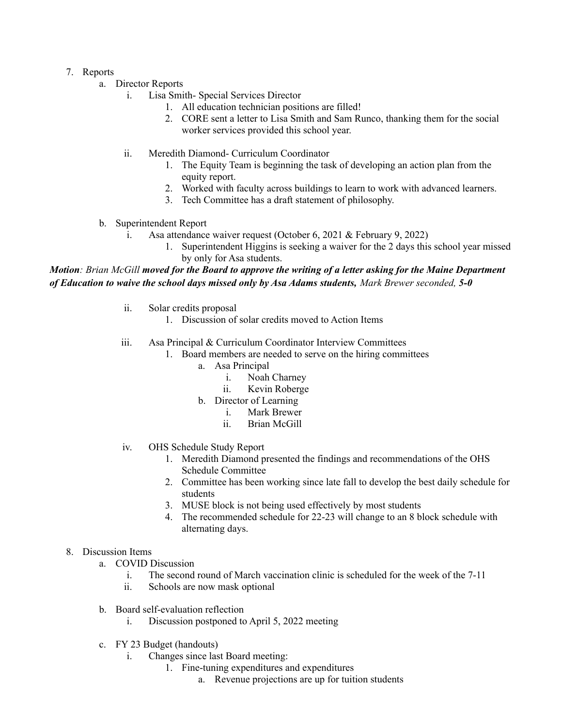#### 7. Reports

- a. Director Reports
	- i. Lisa Smith- Special Services Director
		- 1. All education technician positions are filled!
		- 2. CORE sent a letter to Lisa Smith and Sam Runco, thanking them for the social worker services provided this school year.
	- ii. Meredith Diamond- Curriculum Coordinator
		- 1. The Equity Team is beginning the task of developing an action plan from the equity report.
		- 2. Worked with faculty across buildings to learn to work with advanced learners.
		- 3. Tech Committee has a draft statement of philosophy.
- b. Superintendent Report
	- i. Asa attendance waiver request (October 6, 2021 & February 9, 2022)
		- 1. Superintendent Higgins is seeking a waiver for the 2 days this school year missed by only for Asa students.

# Motion: Brian McGill moved for the Board to approve the writing of a letter asking for the Maine Department *of Education to waive the school days missed only by Asa Adams students, Mark Brewer seconded, 5-0*

- ii. Solar credits proposal
	- 1. Discussion of solar credits moved to Action Items
- iii. Asa Principal & Curriculum Coordinator Interview Committees
	- 1. Board members are needed to serve on the hiring committees
		- a. Asa Principal
			- i. Noah Charney
			- ii. Kevin Roberge
		- b. Director of Learning
			- i. Mark Brewer
			- ii. Brian McGill
- iv. OHS Schedule Study Report
	- 1. Meredith Diamond presented the findings and recommendations of the OHS Schedule Committee
	- 2. Committee has been working since late fall to develop the best daily schedule for students
	- 3. MUSE block is not being used effectively by most students
	- 4. The recommended schedule for 22-23 will change to an 8 block schedule with alternating days.

#### 8. Discussion Items

- a. COVID Discussion
	- i. The second round of March vaccination clinic is scheduled for the week of the 7-11
	- ii. Schools are now mask optional
- b. Board self-evaluation reflection
	- i. Discussion postponed to April 5, 2022 meeting
- c. FY 23 Budget (handouts)
	- i. Changes since last Board meeting:
		- 1. Fine-tuning expenditures and expenditures
			- a. Revenue projections are up for tuition students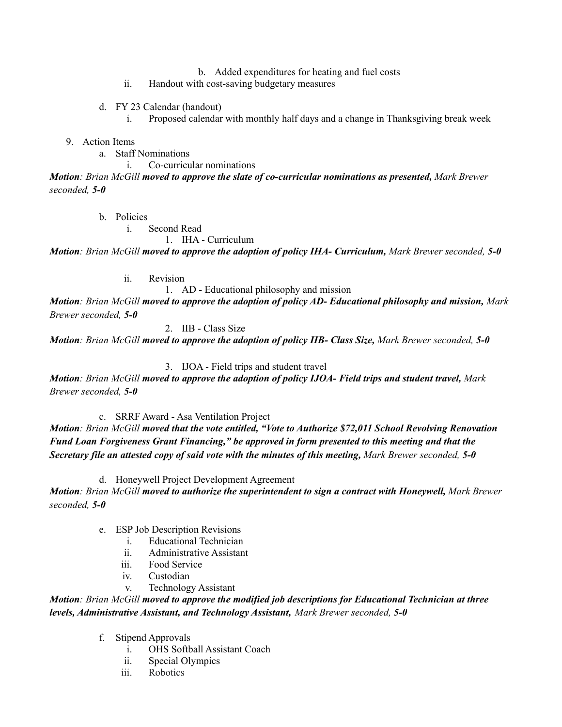- b. Added expenditures for heating and fuel costs
- ii. Handout with cost-saving budgetary measures

#### d. FY 23 Calendar (handout)

i. Proposed calendar with monthly half days and a change in Thanksgiving break week

#### 9. Action Items

- a. Staff Nominations
	- i. Co-curricular nominations

*Motion: Brian McGill moved to approve the slate of co-curricular nominations as presented, Mark Brewer seconded, 5-0*

b. Policies

i. Second Read

1. IHA - Curriculum

*Motion: Brian McGill moved to approve the adoption of policy IHA- Curriculum, Mark Brewer seconded, 5-0*

ii. Revision

1. AD - Educational philosophy and mission

*Motion: Brian McGill moved to approve the adoption of policy AD- Educational philosophy and mission, Mark Brewer seconded, 5-0*

2. IIB - Class Size

Motion: Brian McGill moved to approve the adoption of policy IIB- Class Size, Mark Brewer seconded, 5-0

## 3. IJOA - Field trips and student travel

Motion: Brian McGill moved to approve the adoption of policy IJOA- Field trips and student travel, Mark *Brewer seconded, 5-0*

c. SRRF Award - Asa Ventilation Project

*Motion: Brian McGill moved that the vote entitled, "Vote to Authorize \$72,011 School Revolving Renovation Fund Loan Forgiveness Grant Financing," be approved in form presented to this meeting and that the* Secretary file an attested copy of said vote with the minutes of this meeting, Mark Brewer seconded, 5-0

d. Honeywell Project Development Agreement

*Motion: Brian McGill moved to authorize the superintendent to sign a contract with Honeywell, Mark Brewer seconded, 5-0*

- e. ESP Job Description Revisions
	- i. Educational Technician
	- ii. Administrative Assistant
	- iii. Food Service
	- iv. Custodian
	- v. Technology Assistant

*Motion: Brian McGill moved to approve the modified job descriptions for Educational Technician at three levels, Administrative Assistant, and Technology Assistant, Mark Brewer seconded, 5-0*

- f. Stipend Approvals
	- i. OHS Softball Assistant Coach
	- ii. Special Olympics
	- iii. Robotics